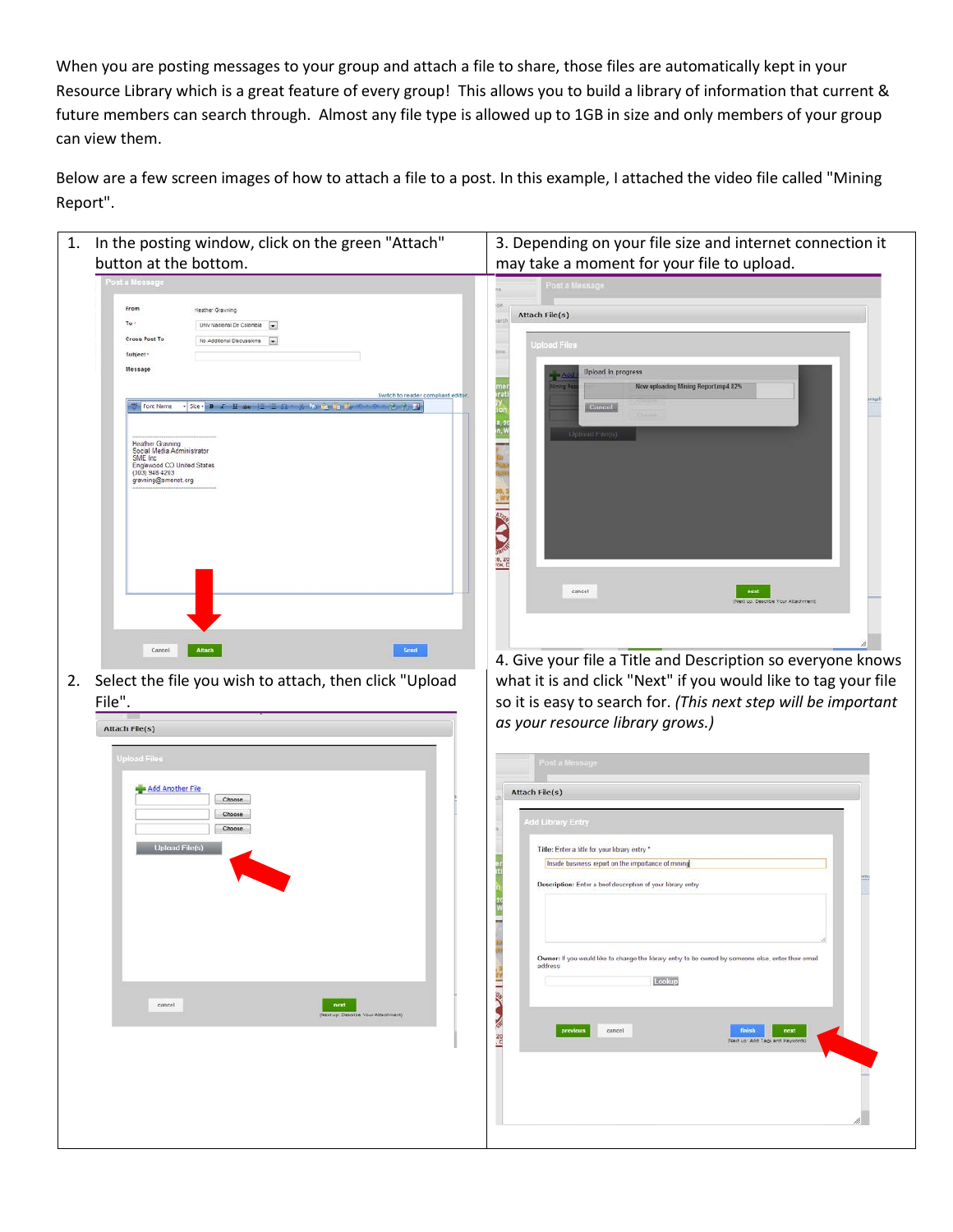When you are posting messages to your group and attach a file to share, those files are automatically kept in your Resource Library which is a great feature of every group! This allows you to build a library of information that current & future members can search through. Almost any file type is allowed up to 1GB in size and only members of your group can view them.

Below are a few screen images of how to attach a file to a post. In this example, I attached the video file called "Mining Report".

 $\blacksquare$ 

| 1. In the posting window, click on the green "Attach"<br>button at the bottom. | 3. Depending on your file size and internet connection it<br>may take a moment for your file to upload.                                                                                         |
|--------------------------------------------------------------------------------|-------------------------------------------------------------------------------------------------------------------------------------------------------------------------------------------------|
| Post a Message                                                                 | cost a Message                                                                                                                                                                                  |
|                                                                                |                                                                                                                                                                                                 |
| From<br>Heather Grayning                                                       | <b>Attach File(s)</b>                                                                                                                                                                           |
| To -<br>Univ Nacional De Colombia                                              |                                                                                                                                                                                                 |
| <b>Cross Post To</b><br>No.Additional Discussions -                            | <b>Jpload Files</b>                                                                                                                                                                             |
| Subject '                                                                      |                                                                                                                                                                                                 |
| Message                                                                        | Upload in progress<br>$\frac{1}{2}$ $\frac{2}{2}$                                                                                                                                               |
|                                                                                | Now uploading Mining Report.mp4 82%<br>Alming Fi                                                                                                                                                |
| Font Name                                                                      | ne<br>rat<br>V<br>Switch to reader compliant editor.<br>Cancel                                                                                                                                  |
|                                                                                |                                                                                                                                                                                                 |
|                                                                                | Upload File(s)                                                                                                                                                                                  |
| <b>Heather Gravning</b><br>Social Media Administrator                          |                                                                                                                                                                                                 |
| SME Inc.<br>Englewood CO United States                                         |                                                                                                                                                                                                 |
| (303) 948 4203<br>gravning@smenet.org                                          |                                                                                                                                                                                                 |
|                                                                                |                                                                                                                                                                                                 |
|                                                                                |                                                                                                                                                                                                 |
|                                                                                |                                                                                                                                                                                                 |
|                                                                                |                                                                                                                                                                                                 |
|                                                                                | <b>MANUSCRIPT</b>                                                                                                                                                                               |
|                                                                                |                                                                                                                                                                                                 |
|                                                                                | cancel<br>next                                                                                                                                                                                  |
|                                                                                | ad up: Describe Your Attachment)                                                                                                                                                                |
|                                                                                |                                                                                                                                                                                                 |
|                                                                                |                                                                                                                                                                                                 |
| Attach<br>Cancel                                                               | Send                                                                                                                                                                                            |
|                                                                                |                                                                                                                                                                                                 |
| Select the file you wish to attach, then click "Upload<br>File".               | as your resource library grows.)                                                                                                                                                                |
| Attach File(s)                                                                 |                                                                                                                                                                                                 |
| <b>Upload Files</b>                                                            | Post a Message                                                                                                                                                                                  |
| Add Another File<br>Choose                                                     | Attach File(s)                                                                                                                                                                                  |
| Choose<br>Choose                                                               | dd Library Entry                                                                                                                                                                                |
|                                                                                |                                                                                                                                                                                                 |
| <b>Upload File(s)</b>                                                          | Title: Enter a title for your library entry *                                                                                                                                                   |
|                                                                                | Inside business report on the importance of mining                                                                                                                                              |
|                                                                                | Description: Enter a brief description of your library entry                                                                                                                                    |
|                                                                                |                                                                                                                                                                                                 |
|                                                                                |                                                                                                                                                                                                 |
|                                                                                |                                                                                                                                                                                                 |
|                                                                                |                                                                                                                                                                                                 |
|                                                                                | Owner: If you would like to change the library entry to be owned by someone else, enter their email                                                                                             |
|                                                                                | address                                                                                                                                                                                         |
|                                                                                | Lookup<br>-                                                                                                                                                                                     |
| cancel<br>next                                                                 | Q                                                                                                                                                                                               |
| (Next up: Describe Your Attachment)                                            |                                                                                                                                                                                                 |
|                                                                                | cancel<br>next<br>finish                                                                                                                                                                        |
|                                                                                | 20<br>-<br>(Next up: Add Tags and Keywords)                                                                                                                                                     |
|                                                                                |                                                                                                                                                                                                 |
|                                                                                | 4. Give your file a Title and Description so everyone knows<br>what it is and click "Next" if you would like to tag your file<br>so it is easy to search for. (This next step will be important |
|                                                                                |                                                                                                                                                                                                 |
|                                                                                |                                                                                                                                                                                                 |
|                                                                                |                                                                                                                                                                                                 |